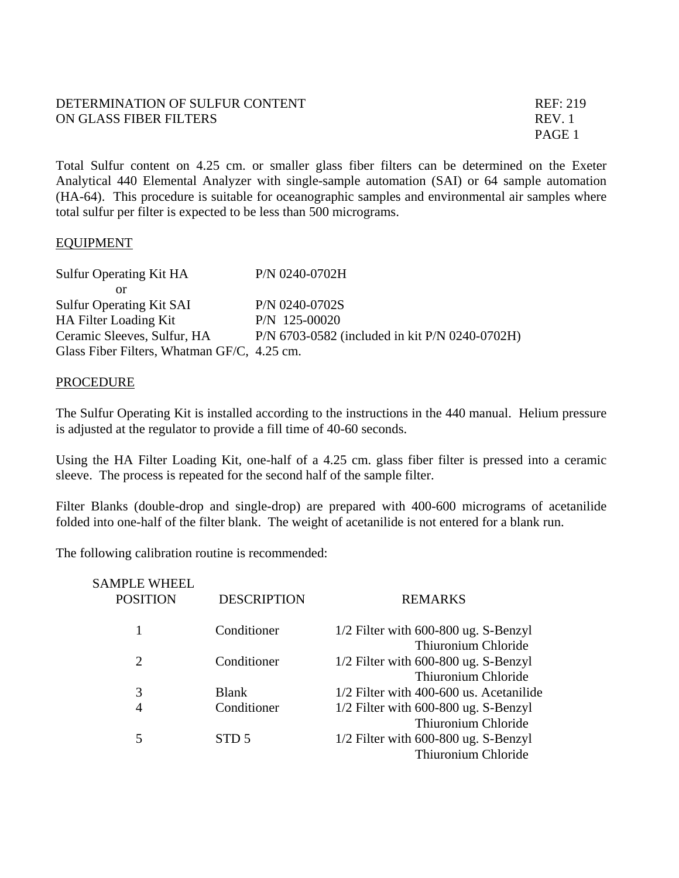## DETERMINATION OF SULFUR CONTENT REF: 219 ON GLASS FIBER FILTERS REV. 1

PAGE 1

Total Sulfur content on 4.25 cm. or smaller glass fiber filters can be determined on the Exeter Analytical 440 Elemental Analyzer with single-sample automation (SAI) or 64 sample automation (HA-64). This procedure is suitable for oceanographic samples and environmental air samples where total sulfur per filter is expected to be less than 500 micrograms.

## EQUIPMENT

| Sulfur Operating Kit HA                     | P/N 0240-0702H                                     |
|---------------------------------------------|----------------------------------------------------|
| or                                          |                                                    |
| <b>Sulfur Operating Kit SAI</b>             | P/N 0240-0702S                                     |
| <b>HA Filter Loading Kit</b>                | $P/N$ 125-00020                                    |
| Ceramic Sleeves, Sulfur, HA                 | $P/N$ 6703-0582 (included in kit $P/N$ 0240-0702H) |
| Glass Fiber Filters, Whatman GF/C, 4.25 cm. |                                                    |

## PROCEDURE

The Sulfur Operating Kit is installed according to the instructions in the 440 manual. Helium pressure is adjusted at the regulator to provide a fill time of 40-60 seconds.

Using the HA Filter Loading Kit, one-half of a 4.25 cm. glass fiber filter is pressed into a ceramic sleeve. The process is repeated for the second half of the sample filter.

Filter Blanks (double-drop and single-drop) are prepared with 400-600 micrograms of acetanilide folded into one-half of the filter blank. The weight of acetanilide is not entered for a blank run.

The following calibration routine is recommended:

| <b>SAMPLE WHEEL</b><br><b>POSITION</b> | <b>DESCRIPTION</b> | <b>REMARKS</b>                            |
|----------------------------------------|--------------------|-------------------------------------------|
| 1                                      | Conditioner        | $1/2$ Filter with 600-800 ug. S-Benzyl    |
|                                        |                    | Thiuronium Chloride                       |
| 2                                      | Conditioner        | $1/2$ Filter with 600-800 ug. S-Benzyl    |
|                                        |                    | Thiuronium Chloride                       |
| 3                                      | <b>Blank</b>       | $1/2$ Filter with 400-600 us. Acetanilide |
| 4                                      | Conditioner        | $1/2$ Filter with 600-800 ug. S-Benzyl    |
|                                        |                    | Thiuronium Chloride                       |
| 5                                      | STD <sub>5</sub>   | $1/2$ Filter with 600-800 ug. S-Benzyl    |
|                                        |                    | Thiuronium Chloride                       |